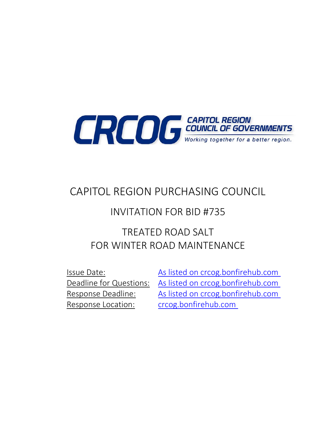

# CAPITOL REGION PURCHASING COUNCIL

## INVITATION FOR BID #735

# TREATED ROAD SALT FOR WINTER ROAD MAINTENANCE

Response Location: [crcog.bonfirehub.com](https://crcog.bonfirehub.com/)

Issue Date: [As listed on crcog.bonfirehub.com](https://crcog.bonfirehub.com/) Deadline for Questions: [As listed on crcog.bonfirehub.com](https://crcog.bonfirehub.com/) Response Deadline: [As listed on crcog.bonfirehub.com](https://crcog.bonfirehub.com/)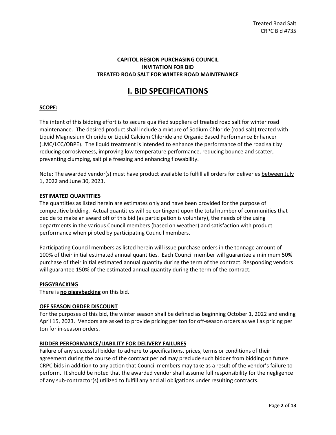#### **CAPITOL REGION PURCHASING COUNCIL INVITATION FOR BID TREATED ROAD SALT FOR WINTER ROAD MAINTENANCE**

## **I. BID SPECIFICATIONS**

#### **SCOPE:**

The intent of this bidding effort is to secure qualified suppliers of treated road salt for winter road maintenance. The desired product shall include a mixture of Sodium Chloride (road salt) treated with Liquid Magnesium Chloride or Liquid Calcium Chloride and Organic Based Performance Enhancer (LMC/LCC/OBPE). The liquid treatment is intended to enhance the performance of the road salt by reducing corrosiveness, improving low temperature performance, reducing bounce and scatter, preventing clumping, salt pile freezing and enhancing flowability.

Note: The awarded vendor(s) must have product available to fulfill all orders for deliveries between July 1, 2022 and June 30, 2023.

#### **ESTIMATED QUANTITIES**

The quantities as listed herein are estimates only and have been provided for the purpose of competitive bidding. Actual quantities will be contingent upon the total number of communities that decide to make an award off of this bid (as participation is voluntary), the needs of the using departments in the various Council members (based on weather) and satisfaction with product performance when piloted by participating Council members.

Participating Council members as listed herein will issue purchase orders in the tonnage amount of 100% of their initial estimated annual quantities. Each Council member will guarantee a minimum 50% purchase of their initial estimated annual quantity during the term of the contract. Responding vendors will guarantee 150% of the estimated annual quantity during the term of the contract.

#### **PIGGYBACKING**

There is **no piggybacking** on this bid.

#### **OFF SEASON ORDER DISCOUNT**

For the purposes of this bid, the winter season shall be defined as beginning October 1, 2022 and ending April 15, 2023. Vendors are asked to provide pricing per ton for off-season orders as well as pricing per ton for in-season orders.

#### **BIDDER PERFORMANCE/LIABILITY FOR DELIVERY FAILURES**

Failure of any successful bidder to adhere to specifications, prices, terms or conditions of their agreement during the course of the contract period may preclude such bidder from bidding on future CRPC bids in addition to any action that Council members may take as a result of the vendor's failure to perform. It should be noted that the awarded vendor shall assume full responsibility for the negligence of any sub-contractor(s) utilized to fulfill any and all obligations under resulting contracts.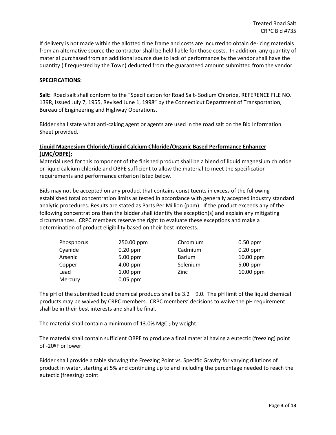If delivery is not made within the allotted time frame and costs are incurred to obtain de-icing materials from an alternative source the contractor shall be held liable for those costs. In addition, any quantity of material purchased from an additional source due to lack of performance by the vendor shall have the quantity (if requested by the Town) deducted from the guaranteed amount submitted from the vendor.

#### **SPECIFICATIONS:**

**Salt:** Road salt shall conform to the "Specification for Road Salt- Sodium Chloride, REFERENCE FILE NO. 139R, Issued July 7, 1955, Revised June 1, 1998" by the Connecticut Department of Transportation, Bureau of Engineering and Highway Operations.

Bidder shall state what anti-caking agent or agents are used in the road salt on the Bid Information Sheet provided.

#### **Liquid Magnesium Chloride/Liquid Calcium Chloride/Organic Based Performance Enhancer (LMC/OBPE):**

Material used for this component of the finished product shall be a blend of liquid magnesium chloride or liquid calcium chloride and OBPE sufficient to allow the material to meet the specification requirements and performance criterion listed below.

Bids may not be accepted on any product that contains constituents in excess of the following established total concentration limits as tested in accordance with generally accepted industry standard analytic procedures. Results are stated as Parts Per Million (ppm). If the product exceeds any of the following concentrations then the bidder shall identify the exception(s) and explain any mitigating circumstances. CRPC members reserve the right to evaluate these exceptions and make a determination of product eligibility based on their best interests.

| Phosphorus | 250.00 ppm | Chromium      | $0.50$ ppm |
|------------|------------|---------------|------------|
| Cyanide    | $0.20$ ppm | Cadmium       | $0.20$ ppm |
| Arsenic    | 5.00 ppm   | <b>Barium</b> | 10.00 ppm  |
| Copper     | $4.00$ ppm | Selenium      | 5.00 ppm   |
| Lead       | $1.00$ ppm | Zinc          | 10.00 ppm  |
| Mercury    | $0.05$ ppm |               |            |

The pH of the submitted liquid chemical products shall be  $3.2 - 9.0$ . The pH limit of the liquid chemical products may be waived by CRPC members. CRPC members' decisions to waive the pH requirement shall be in their best interests and shall be final.

The material shall contain a minimum of  $13.0\%$  MgCl<sub>2</sub> by weight.

The material shall contain sufficient OBPE to produce a final material having a eutectic (freezing) point of -20ºF or lower.

Bidder shall provide a table showing the Freezing Point vs. Specific Gravity for varying dilutions of product in water, starting at 5% and continuing up to and including the percentage needed to reach the eutectic (freezing) point.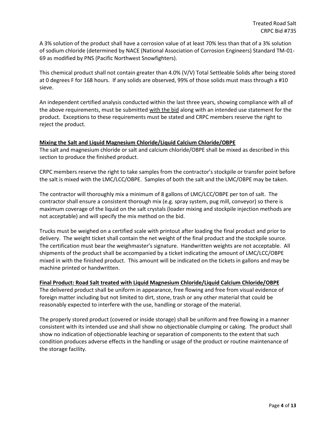A 3% solution of the product shall have a corrosion value of at least 70% less than that of a 3% solution of sodium chloride (determined by NACE (National Association of Corrosion Engineers) Standard TM-01- 69 as modified by PNS (Pacific Northwest Snowfighters).

This chemical product shall not contain greater than 4.0% (V/V) Total Settleable Solids after being stored at 0 degrees F for 168 hours. If any solids are observed, 99% of those solids must mass through a #10 sieve.

An independent certified analysis conducted within the last three years, showing compliance with all of the above requirements, must be submitted with the bid along with an intended use statement for the product. Exceptions to these requirements must be stated and CRPC members reserve the right to reject the product.

#### **Mixing the Salt and Liquid Magnesium Chloride/Liquid Calcium Chloride/OBPE**

The salt and magnesium chloride or salt and calcium chloride/OBPE shall be mixed as described in this section to produce the finished product.

CRPC members reserve the right to take samples from the contractor's stockpile or transfer point before the salt is mixed with the LMC/LCC/OBPE. Samples of both the salt and the LMC/OBPE may be taken.

The contractor will thoroughly mix a minimum of 8 gallons of LMC/LCC/OBPE per ton of salt. The contractor shall ensure a consistent thorough mix (e.g. spray system, pug mill, conveyor) so there is maximum coverage of the liquid on the salt crystals (loader mixing and stockpile injection methods are not acceptable) and will specify the mix method on the bid.

Trucks must be weighed on a certified scale with printout after loading the final product and prior to delivery. The weight ticket shall contain the net weight of the final product and the stockpile source. The certification must bear the weighmaster's signature. Handwritten weights are not acceptable. All shipments of the product shall be accompanied by a ticket indicating the amount of LMC/LCC/OBPE mixed in with the finished product. This amount will be indicated on the tickets in gallons and may be machine printed or handwritten.

#### **Final Product: Road Salt treated with Liquid Magnesium Chloride/Liquid Calcium Chloride/OBPE**

The delivered product shall be uniform in appearance, free flowing and free from visual evidence of foreign matter including but not limited to dirt, stone, trash or any other material that could be reasonably expected to interfere with the use, handling or storage of the material.

The properly stored product (covered or inside storage) shall be uniform and free flowing in a manner consistent with its intended use and shall show no objectionable clumping or caking. The product shall show no indication of objectionable leaching or separation of components to the extent that such condition produces adverse effects in the handling or usage of the product or routine maintenance of the storage facility.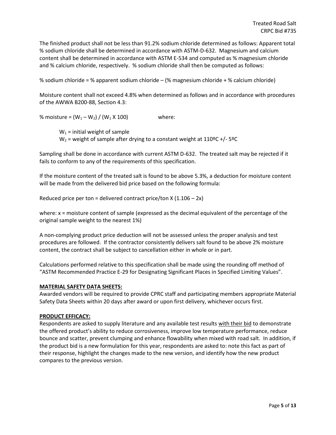The finished product shall not be less than 91.2% sodium chloride determined as follows: Apparent total % sodium chloride shall be determined in accordance with ASTM-D-632. Magnesium and calcium content shall be determined in accordance with ASTM E-534 and computed as % magnesium chloride and % calcium chloride, respectively. % sodium chloride shall then be computed as follows:

% sodium chloride = % apparent sodium chloride – (% magnesium chloride + % calcium chloride)

Moisture content shall not exceed 4.8% when determined as follows and in accordance with procedures of the AWWA B200-88, Section 4.3:

% moisture =  $(W_1 - W_2) / (W_1 \times 100)$  where:

 $W_1$  = initial weight of sample  $W_2$  = weight of sample after drying to a constant weight at 110°C +/- 5°C

Sampling shall be done in accordance with current ASTM D-632. The treated salt may be rejected if it fails to conform to any of the requirements of this specification.

If the moisture content of the treated salt is found to be above 5.3%, a deduction for moisture content will be made from the delivered bid price based on the following formula:

Reduced price per ton = delivered contract price/ton  $X(1.106 - 2x)$ 

where: x = moisture content of sample (expressed as the decimal equivalent of the percentage of the original sample weight to the nearest 1%)

A non-complying product price deduction will not be assessed unless the proper analysis and test procedures are followed. If the contractor consistently delivers salt found to be above 2% moisture content, the contract shall be subject to cancellation either in whole or in part.

Calculations performed relative to this specification shall be made using the rounding off method of "ASTM Recommended Practice E-29 for Designating Significant Places in Specified Limiting Values".

#### **MATERIAL SAFETY DATA SHEETS:**

Awarded vendors will be required to provide CPRC staff and participating members appropriate Material Safety Data Sheets within 20 days after award or upon first delivery, whichever occurs first.

#### **PRODUCT EFFICACY:**

Respondents are asked to supply literature and any available test results with their bid to demonstrate the offered product's ability to reduce corrosiveness, improve low temperature performance, reduce bounce and scatter, prevent clumping and enhance flowability when mixed with road salt. In addition, if the product bid is a new formulation for this year, respondents are asked to: note this fact as part of their response, highlight the changes made to the new version, and identify how the new product compares to the previous version.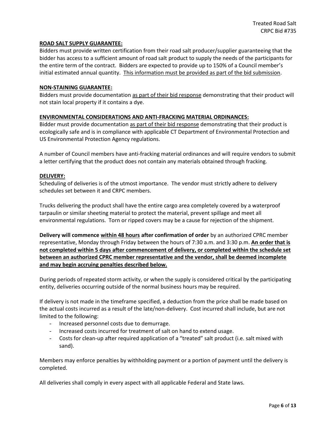#### **ROAD SALT SUPPLY GUARANTEE:**

Bidders must provide written certification from their road salt producer/supplier guaranteeing that the bidder has access to a sufficient amount of road salt product to supply the needs of the participants for the entire term of the contract. Bidders are expected to provide up to 150% of a Council member's initial estimated annual quantity. This information must be provided as part of the bid submission.

#### **NON-STAINING GUARANTEE:**

Bidders must provide documentation as part of their bid response demonstrating that their product will not stain local property if it contains a dye.

#### **ENVIRONMENTAL CONSIDERATIONS AND ANTI-FRACKING MATERIAL ORDINANCES:**

Bidder must provide documentation as part of their bid response demonstrating that their product is ecologically safe and is in compliance with applicable CT Department of Environmental Protection and US Environmental Protection Agency regulations.

A number of Council members have anti-fracking material ordinances and will require vendors to submit a letter certifying that the product does not contain any materials obtained through fracking.

#### **DELIVERY:**

Scheduling of deliveries is of the utmost importance. The vendor must strictly adhere to delivery schedules set between it and CRPC members.

Trucks delivering the product shall have the entire cargo area completely covered by a waterproof tarpaulin or similar sheeting material to protect the material, prevent spillage and meet all environmental regulations. Torn or ripped covers may be a cause for rejection of the shipment.

**Delivery will commence within 48 hours after confirmation of order** by an authorized CPRC member representative, Monday through Friday between the hours of 7:30 a.m. and 3:30 p.m. **An order that is not completed within 5 days after commencement of delivery, or completed within the schedule set between an authorized CPRC member representative and the vendor, shall be deemed incomplete and may begin accruing penalties described below.**

During periods of repeated storm activity, or when the supply is considered critical by the participating entity, deliveries occurring outside of the normal business hours may be required.

If delivery is not made in the timeframe specified, a deduction from the price shall be made based on the actual costs incurred as a result of the late/non-delivery. Cost incurred shall include, but are not limited to the following:

- Increased personnel costs due to demurrage.
- Increased costs incurred for treatment of salt on hand to extend usage.
- Costs for clean-up after required application of a "treated" salt product (i.e. salt mixed with sand).

Members may enforce penalties by withholding payment or a portion of payment until the delivery is completed.

All deliveries shall comply in every aspect with all applicable Federal and State laws.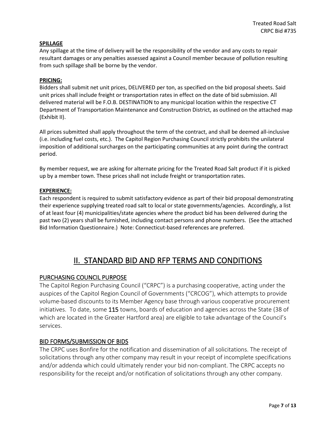#### **SPILLAGE**

Any spillage at the time of delivery will be the responsibility of the vendor and any costs to repair resultant damages or any penalties assessed against a Council member because of pollution resulting from such spillage shall be borne by the vendor.

#### **PRICING:**

Bidders shall submit net unit prices, DELIVERED per ton, as specified on the bid proposal sheets. Said unit prices shall include freight or transportation rates in effect on the date of bid submission. All delivered material will be F.O.B. DESTINATION to any municipal location within the respective CT Department of Transportation Maintenance and Construction District, as outlined on the attached map (Exhibit II).

All prices submitted shall apply throughout the term of the contract, and shall be deemed all-inclusive (i.e. including fuel costs, etc.). The Capitol Region Purchasing Council strictly prohibits the unilateral imposition of additional surcharges on the participating communities at any point during the contract period.

By member request, we are asking for alternate pricing for the Treated Road Salt product if it is picked up by a member town. These prices shall not include freight or transportation rates.

#### **EXPERIENCE:**

Each respondent is required to submit satisfactory evidence as part of their bid proposal demonstrating their experience supplying treated road salt to local or state governments/agencies. Accordingly, a list of at least four (4) municipalities/state agencies where the product bid has been delivered during the past two (2) years shall be furnished, including contact persons and phone numbers. (See the attached Bid Information Questionnaire.) Note: Connecticut-based references are preferred.

## II. STANDARD BID AND RFP TERMS AND CONDITIONS

#### PURCHASING COUNCIL PURPOSE

The Capitol Region Purchasing Council ("CRPC") is a purchasing cooperative, acting under the auspices of the Capitol Region Council of Governments ("CRCOG"), which attempts to provide volume-based discounts to its Member Agency base through various cooperative procurement initiatives. To date, some 115 towns, boards of education and agencies across the State (38 of which are located in the Greater Hartford area) are eligible to take advantage of the Council's services.

#### BID FORMS/SUBMISSION OF BIDS

The CRPC uses Bonfire for the notification and dissemination of all solicitations. The receipt of solicitations through any other company may result in your receipt of incomplete specifications and/or addenda which could ultimately render your bid non-compliant. The CRPC accepts no responsibility for the receipt and/or notification of solicitations through any other company.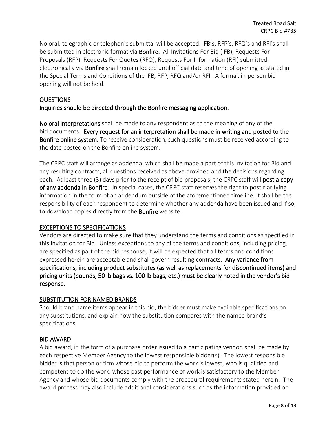No oral, telegraphic or telephonic submittal will be accepted. IFB's, RFP's, RFQ's and RFI's shall be submitted in electronic format via **Bonfire.** All Invitations For Bid (IFB), Requests For Proposals (RFP), Requests For Quotes (RFQ), Requests For Information (RFI) submitted electronically via Bonfire shall remain locked until official date and time of opening as stated in the Special Terms and Conditions of the IFB, RFP, RFQ and/or RFI. A formal, in-person bid opening will not be held.

## QUESTIONS

## Inquiries should be directed through the Bonfire messaging application.

No oral interpretations shall be made to any respondent as to the meaning of any of the bid documents. Every request for an interpretation shall be made in writing and posted to the Bonfire online system. To receive consideration, such questions must be received according to the date posted on the Bonfire online system.

The CRPC staff will arrange as addenda, which shall be made a part of this Invitation for Bid and any resulting contracts, all questions received as above provided and the decisions regarding each. At least three (3) days prior to the receipt of bid proposals, the CRPC staff will post a copy of any addenda in Bonfire. In special cases, the CRPC staff reserves the right to post clarifying information in the form of an addendum outside of the aforementioned timeline. It shall be the responsibility of each respondent to determine whether any addenda have been issued and if so, to download copies directly from the **Bonfire** website.

## EXCEPTIONS TO SPECIFICATIONS

Vendors are directed to make sure that they understand the terms and conditions as specified in this Invitation for Bid. Unless exceptions to any of the terms and conditions, including pricing, are specified as part of the bid response, it will be expected that all terms and conditions expressed herein are acceptable and shall govern resulting contracts. Any variance from specifications, including product substitutes (as well as replacements for discontinued items) and pricing units (pounds, 50 lb bags vs. 100 lb bags, etc.) must be clearly noted in the vendor's bid response.

## SUBSTITUTION FOR NAMED BRANDS

Should brand name items appear in this bid, the bidder must make available specifications on any substitutions, and explain how the substitution compares with the named brand's specifications.

#### BID AWARD

A bid award, in the form of a purchase order issued to a participating vendor, shall be made by each respective Member Agency to the lowest responsible bidder(s). The lowest responsible bidder is that person or firm whose bid to perform the work is lowest, who is qualified and competent to do the work, whose past performance of work is satisfactory to the Member Agency and whose bid documents comply with the procedural requirements stated herein. The award process may also include additional considerations such as the information provided on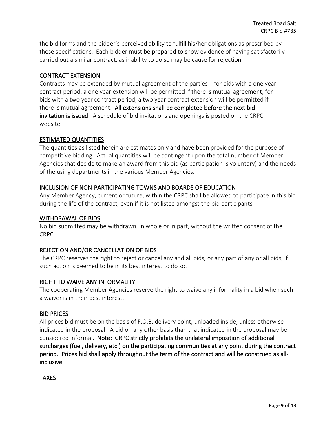the bid forms and the bidder's perceived ability to fulfill his/her obligations as prescribed by these specifications. Each bidder must be prepared to show evidence of having satisfactorily carried out a similar contract, as inability to do so may be cause for rejection.

## CONTRACT EXTENSION

Contracts may be extended by mutual agreement of the parties – for bids with a one year contract period, a one year extension will be permitted if there is mutual agreement; for bids with a two year contract period, a two year contract extension will be permitted if there is mutual agreement. All extensions shall be completed before the next bid invitation is issued. A schedule of bid invitations and openings is posted on the CRPC website.

## ESTIMATED QUANTITIES

The quantities as listed herein are estimates only and have been provided for the purpose of competitive bidding. Actual quantities will be contingent upon the total number of Member Agencies that decide to make an award from this bid (as participation is voluntary) and the needs of the using departments in the various Member Agencies.

## INCLUSION OF NON-PARTICIPATING TOWNS AND BOARDS OF EDUCATION

Any Member Agency, current or future, within the CRPC shall be allowed to participate in this bid during the life of the contract, even if it is not listed amongst the bid participants.

## WITHDRAWAL OF BIDS

No bid submitted may be withdrawn, in whole or in part, without the written consent of the CRPC.

## REJECTION AND/OR CANCELLATION OF BIDS

The CRPC reserves the right to reject or cancel any and all bids, or any part of any or all bids, if such action is deemed to be in its best interest to do so.

## RIGHT TO WAIVE ANY INFORMALITY

The cooperating Member Agencies reserve the right to waive any informality in a bid when such a waiver is in their best interest.

#### BID PRICES

All prices bid must be on the basis of F.O.B. delivery point, unloaded inside, unless otherwise indicated in the proposal. A bid on any other basis than that indicated in the proposal may be considered informal. Note: CRPC strictly prohibits the unilateral imposition of additional surcharges (fuel, delivery, etc.) on the participating communities at any point during the contract period. Prices bid shall apply throughout the term of the contract and will be construed as allinclusive.

TAXES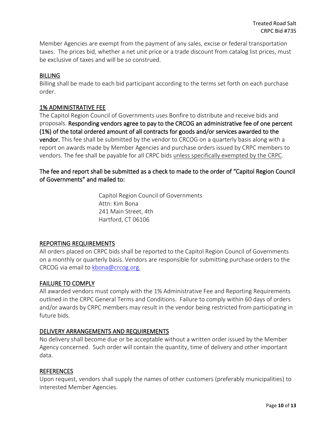Member Agencies are exempt from the payment of any sales, excise or federal transportation taxes. The prices bid, whether a net unit price or a trade discount from catalog list prices, must be exclusive of taxes and will be so construed.

## BILLING

Billing shall be made to each bid participant according to the terms set forth on each purchase order.

## 1% ADMINISTRATIVE FEE

The Capitol Region Council of Governments uses Bonfire to distribute and receive bids and proposals. Responding vendors agree to pay to the CRCOG an administrative fee of one percent (1%) of the total ordered amount of all contracts for goods and/or services awarded to the vendor. This fee shall be submitted by the vendor to CRCOG on a quarterly basis along with a report on awards made by Member Agencies and purchase orders issued by CRPC members to vendors. The fee shall be payable for all CRPC bids unless specifically exempted by the CRPC.

The fee and report shall be submitted as a check to made to the order of "Capitol Region Council of Governments" and mailed to:

> Capitol Region Council of Governments Attn: Kim Bona 241 Main Street, 4th Hartford, CT 06106

## REPORTING REQUIREMENTS

All orders placed on CRPC bids shall be reported to the Capitol Region Council of Governments on a monthly or quarterly basis. Vendors are responsible for submitting purchase orders to the CRCOG via email to [kbona@crcog.org.](mailto:kbona@crcog.org)

## FAILURE TO COMPLY

All awarded vendors must comply with the 1% Administrative Fee and Reporting Requirements outlined in the CRPC General Terms and Conditions. Failure to comply within 60 days of orders and/or awards by CRPC members may result in the vendor being restricted from participating in future bids.

## DELIVERY ARRANGEMENTS AND REQUIREMENTS

No delivery shall become due or be acceptable without a written order issued by the Member Agency concerned. Such order will contain the quantity, time of delivery and other important data.

#### REFERENCES

Upon request, vendors shall supply the names of other customers (preferably municipalities) to interested Member Agencies.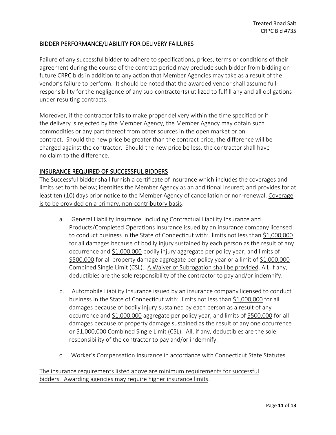## BIDDER PERFORMANCE/LIABILITY FOR DELIVERY FAILURES

Failure of any successful bidder to adhere to specifications, prices, terms or conditions of their agreement during the course of the contract period may preclude such bidder from bidding on future CRPC bids in addition to any action that Member Agencies may take as a result of the vendor's failure to perform. It should be noted that the awarded vendor shall assume full responsibility for the negligence of any sub-contractor(s) utilized to fulfill any and all obligations under resulting contracts.

Moreover, if the contractor fails to make proper delivery within the time specified or if the delivery is rejected by the Member Agency, the Member Agency may obtain such commodities or any part thereof from other sources in the open market or on contract. Should the new price be greater than the contract price, the difference will be charged against the contractor. Should the new price be less, the contractor shall have no claim to the difference.

## INSURANCE REQUIRED OF SUCCESSFUL BIDDERS

The Successful bidder shall furnish a certificate of insurance which includes the coverages and limits set forth below; identifies the Member Agency as an additional insured; and provides for at least ten (10) days prior notice to the Member Agency of cancellation or non-renewal. Coverage is to be provided on a primary, non-contributory basis:

- a. General Liability Insurance, including Contractual Liability Insurance and Products/Completed Operations Insurance issued by an insurance company licensed to conduct business in the State of Connecticut with: limits not less than \$1,000,000 for all damages because of bodily injury sustained by each person as the result of any occurrence and \$1,000,000 bodily injury aggregate per policy year; and limits of \$500,000 for all property damage aggregate per policy year or a limit of \$1,000,000 Combined Single Limit (CSL). A Waiver of Subrogation shall be provided. All, if any, deductibles are the sole responsibility of the contractor to pay and/or indemnify.
- b. Automobile Liability Insurance issued by an insurance company licensed to conduct business in the State of Connecticut with: limits not less than \$1,000,000 for all damages because of bodily injury sustained by each person as a result of any occurrence and \$1,000,000 aggregate per policy year; and limits of \$500,000 for all damages because of property damage sustained as the result of any one occurrence or \$1,000,000 Combined Single Limit (CSL). All, if any, deductibles are the sole responsibility of the contractor to pay and/or indemnify.
- c. Worker's Compensation Insurance in accordance with Connecticut State Statutes.

The insurance requirements listed above are minimum requirements for successful bidders. Awarding agencies may require higher insurance limits.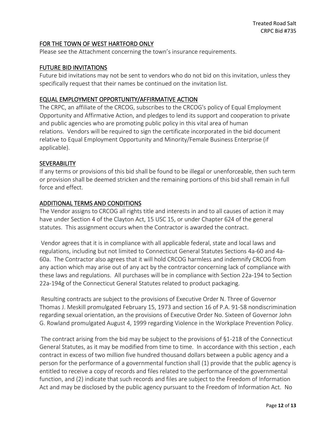## FOR THE TOWN OF WEST HARTFORD ONLY

Please see the Attachment concerning the town's insurance requirements.

## FUTURE BID INVITATIONS

Future bid invitations may not be sent to vendors who do not bid on this invitation, unless they specifically request that their names be continued on the invitation list.

## EQUAL EMPLOYMENT OPPORTUNITY/AFFIRMATIVE ACTION

The CRPC, an affiliate of the CRCOG, subscribes to the CRCOG's policy of Equal Employment Opportunity and Affirmative Action, and pledges to lend its support and cooperation to private and public agencies who are promoting public policy in this vital area of human relations. Vendors will be required to sign the certificate incorporated in the bid document relative to Equal Employment Opportunity and Minority/Female Business Enterprise (if applicable).

## **SEVERABILITY**

If any terms or provisions of this bid shall be found to be illegal or unenforceable, then such term or provision shall be deemed stricken and the remaining portions of this bid shall remain in full force and effect.

## ADDITIONAL TERMS AND CONDITIONS

The Vendor assigns to CRCOG all rights title and interests in and to all causes of action it may have under Section 4 of the Clayton Act, 15 USC 15, or under Chapter 624 of the general statutes. This assignment occurs when the Contractor is awarded the contract.

Vendor agrees that it is in compliance with all applicable federal, state and local laws and regulations, including but not limited to Connecticut General Statutes Sections 4a-60 and 4a-60a. The Contractor also agrees that it will hold CRCOG harmless and indemnify CRCOG from any action which may arise out of any act by the contractor concerning lack of compliance with these laws and regulations. All purchases will be in compliance with Section 22a-194 to Section 22a-194g of the Connecticut General Statutes related to product packaging.

Resulting contracts are subject to the provisions of Executive Order N. Three of Governor Thomas J. Meskill promulgated February 15, 1973 and section 16 of P.A. 91-58 nondiscrimination regarding sexual orientation, an the provisions of Executive Order No. Sixteen of Governor John G. Rowland promulgated August 4, 1999 regarding Violence in the Workplace Prevention Policy.

The contract arising from the bid may be subject to the provisions of §1-218 of the Connecticut General Statutes, as it may be modified from time to time. In accordance with this section , each contract in excess of two million five hundred thousand dollars between a public agency and a person for the performance of a governmental function shall (1) provide that the public agency is entitled to receive a copy of records and files related to the performance of the governmental function, and (2) indicate that such records and files are subject to the Freedom of Information Act and may be disclosed by the public agency pursuant to the Freedom of Information Act. No